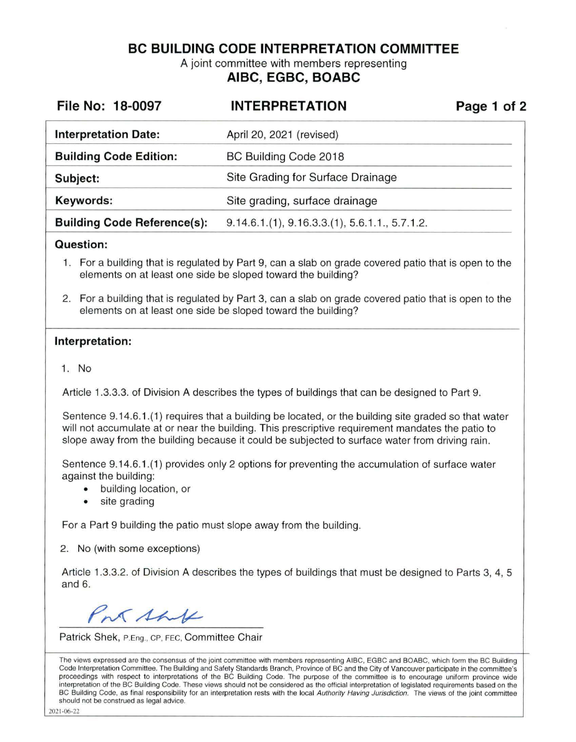**BC BUILDING CODE INTERPRETATION COMMITTEE** 

A joint committee with members representing **AIBC, EGBC, BOABC** 

| File No: 18-0097                   | <b>INTERPRETATION</b>                         | Page 1 of 2 |
|------------------------------------|-----------------------------------------------|-------------|
| <b>Interpretation Date:</b>        | April 20, 2021 (revised)                      |             |
| <b>Building Code Edition:</b>      | BC Building Code 2018                         |             |
| Subject:                           | Site Grading for Surface Drainage             |             |
| Keywords:                          | Site grading, surface drainage                |             |
| <b>Building Code Reference(s):</b> | $9.14.6.1(1), 9.16.3.3(1), 5.6.1.1, 5.7.1.2.$ |             |

## **Question:**

- 1. For a building that is regulated by Part 9, can a slab on grade covered patio that is open to the elements on at least one side be sloped toward the building?
- 2. For a building that is regulated by Part 3, can a slab on grade covered patio that is open to the elements on at least one side be sloped toward the building?

## **Interpretation:**

1. No

Article 1.3.3.3. of Division A describes the types of buildings that can be designed to Part 9.

Sentence 9.14.6.1.(1) requires that a building be located, or the building site graded so that water will not accumulate at or near the building. This prescriptive requirement mandates the patio to slope away from the building because it could be subjected to surface water from driving rain.

Sentence 9.14.6.1.(1) provides only 2 options for preventing the accumulation of surface water against the building:

- building location, or
- site grading

For a Part 9 building the patio must slope away from the building.

2. No (with some exceptions)

Article 1.3.3.2. of Division A describes the types of buildings that must be designed to Parts 3, 4, 5 and 6.

PM Shift

Patrick Shek, P.Eng., CP, FEC, Committee Chair

The views expressed are the consensus of the joint committee with members representing AIBC, EGBC and BOABC, which form the BC Building Code Interpretation Committee. The Building and Safety Standards Branch, Province of BC and the City of Vancouver participate in the committee's proceedings with respect to interpretations of the BC Building Code. The purpose of the committee is to encourage uniform province wide interpretation of the BC Building Code. These views should not be considered as the official interpretation of legislated requirements based on the BC Building Code, as final responsibility for an interpretation rests with the local Authority Having Jurisdiction. The views of the joint committee should not be construed as legal advice.